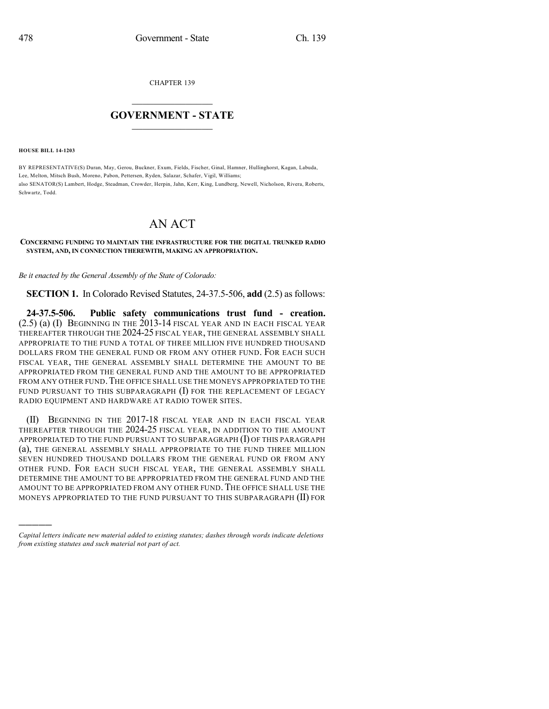CHAPTER 139

## $\mathcal{L}_\text{max}$  . The set of the set of the set of the set of the set of the set of the set of the set of the set of the set of the set of the set of the set of the set of the set of the set of the set of the set of the set **GOVERNMENT - STATE**  $\_$   $\_$   $\_$   $\_$   $\_$   $\_$   $\_$   $\_$

**HOUSE BILL 14-1203**

)))))

BY REPRESENTATIVE(S) Duran, May, Gerou, Buckner, Exum, Fields, Fischer, Ginal, Hamner, Hullinghorst, Kagan, Labuda, Lee, Melton, Mitsch Bush, Moreno, Pabon, Pettersen, Ryden, Salazar, Schafer, Vigil, Williams; also SENATOR(S) Lambert, Hodge, Steadman, Crowder, Herpin, Jahn, Kerr, King, Lundberg, Newell, Nicholson, Rivera, Roberts, Schwartz, Todd.

## AN ACT

## **CONCERNING FUNDING TO MAINTAIN THE INFRASTRUCTURE FOR THE DIGITAL TRUNKED RADIO SYSTEM, AND, IN CONNECTION THEREWITH, MAKING AN APPROPRIATION.**

*Be it enacted by the General Assembly of the State of Colorado:*

**SECTION 1.** In Colorado Revised Statutes, 24-37.5-506, **add** (2.5) as follows:

**24-37.5-506. Public safety communications trust fund - creation.** (2.5) (a) (I) BEGINNING IN THE 2013-14 FISCAL YEAR AND IN EACH FISCAL YEAR THEREAFTER THROUGH THE 2024-25 FISCAL YEAR, THE GENERAL ASSEMBLY SHALL APPROPRIATE TO THE FUND A TOTAL OF THREE MILLION FIVE HUNDRED THOUSAND DOLLARS FROM THE GENERAL FUND OR FROM ANY OTHER FUND. FOR EACH SUCH FISCAL YEAR, THE GENERAL ASSEMBLY SHALL DETERMINE THE AMOUNT TO BE APPROPRIATED FROM THE GENERAL FUND AND THE AMOUNT TO BE APPROPRIATED FROM ANY OTHER FUND. THE OFFICE SHALL USE THE MONEYS APPROPRIATED TO THE FUND PURSUANT TO THIS SUBPARAGRAPH  $(I)$  for the Replacement of Legacy RADIO EQUIPMENT AND HARDWARE AT RADIO TOWER SITES.

(II) BEGINNING IN THE 2017-18 FISCAL YEAR AND IN EACH FISCAL YEAR THEREAFTER THROUGH THE 2024-25 FISCAL YEAR, IN ADDITION TO THE AMOUNT APPROPRIATED TO THE FUND PURSUANT TO SUBPARAGRAPH (I) OF THIS PARAGRAPH (a), THE GENERAL ASSEMBLY SHALL APPROPRIATE TO THE FUND THREE MILLION SEVEN HUNDRED THOUSAND DOLLARS FROM THE GENERAL FUND OR FROM ANY OTHER FUND. FOR EACH SUCH FISCAL YEAR, THE GENERAL ASSEMBLY SHALL DETERMINE THE AMOUNT TO BE APPROPRIATED FROM THE GENERAL FUND AND THE AMOUNT TO BE APPROPRIATED FROM ANY OTHER FUND. THE OFFICE SHALL USE THE MONEYS APPROPRIATED TO THE FUND PURSUANT TO THIS SUBPARAGRAPH (II) FOR

*Capital letters indicate new material added to existing statutes; dashes through words indicate deletions from existing statutes and such material not part of act.*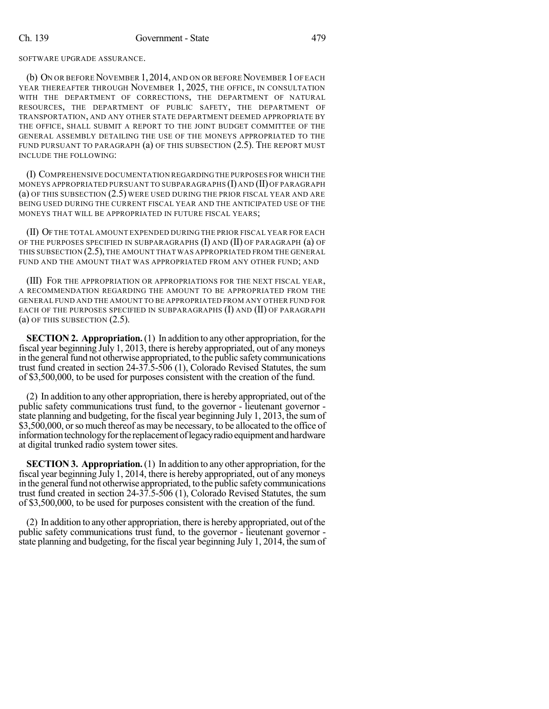SOFTWARE UPGRADE ASSURANCE.

(b) ON OR BEFORE NOVEMBER 1, 2014, AND ON OR BEFORE NOVEMBER 1 OF EACH YEAR THEREAFTER THROUGH NOVEMBER 1, 2025, THE OFFICE, IN CONSULTATION WITH THE DEPARTMENT OF CORRECTIONS, THE DEPARTMENT OF NATURAL RESOURCES, THE DEPARTMENT OF PUBLIC SAFETY, THE DEPARTMENT OF TRANSPORTATION, AND ANY OTHER STATE DEPARTMENT DEEMED APPROPRIATE BY THE OFFICE, SHALL SUBMIT A REPORT TO THE JOINT BUDGET COMMITTEE OF THE GENERAL ASSEMBLY DETAILING THE USE OF THE MONEYS APPROPRIATED TO THE FUND PURSUANT TO PARAGRAPH (a) OF THIS SUBSECTION (2.5). THE REPORT MUST INCLUDE THE FOLLOWING:

(I) COMPREHENSIVE DOCUMENTATION REGARDINGTHE PURPOSES FOR WHICH THE MONEYS APPROPRIATED PURSUANT TO SUBPARAGRAPHS (I) AND (II) OF PARAGRAPH (a) OF THIS SUBSECTION (2.5) WERE USED DURING THE PRIOR FISCAL YEAR AND ARE BEING USED DURING THE CURRENT FISCAL YEAR AND THE ANTICIPATED USE OF THE MONEYS THAT WILL BE APPROPRIATED IN FUTURE FISCAL YEARS;

(II) OF THE TOTAL AMOUNT EXPENDED DURING THE PRIOR FISCAL YEAR FOR EACH OF THE PURPOSES SPECIFIED IN SUBPARAGRAPHS (I) AND (II) OF PARAGRAPH (a) OF THIS SUBSECTION (2.5), THE AMOUNT THAT WAS APPROPRIATED FROM THE GENERAL FUND AND THE AMOUNT THAT WAS APPROPRIATED FROM ANY OTHER FUND; AND

(III) FOR THE APPROPRIATION OR APPROPRIATIONS FOR THE NEXT FISCAL YEAR, A RECOMMENDATION REGARDING THE AMOUNT TO BE APPROPRIATED FROM THE GENERAL FUND AND THE AMOUNT TO BE APPROPRIATED FROM ANY OTHER FUND FOR EACH OF THE PURPOSES SPECIFIED IN SUBPARAGRAPHS (I) AND (II) OF PARAGRAPH (a) OF THIS SUBSECTION (2.5).

**SECTION 2. Appropriation.**(1) In addition to any other appropriation, for the fiscal year beginning July 1, 2013, there is hereby appropriated, out of any moneys in the general fund not otherwise appropriated, to the public safety communications trust fund created in section 24-37.5-506 (1), Colorado Revised Statutes, the sum of \$3,500,000, to be used for purposes consistent with the creation of the fund.

(2) In addition to any other appropriation, there is hereby appropriated, out of the public safety communications trust fund, to the governor - lieutenant governor state planning and budgeting, for the fiscal year beginning July 1, 2013, the sum of \$3,500,000, or so much thereof as may be necessary, to be allocated to the office of information technology for the replacement of legacy radio equipment and hardware at digital trunked radio system tower sites.

**SECTION 3. Appropriation.**(1) In addition to any other appropriation, for the fiscal year beginning July 1, 2014, there is hereby appropriated, out of any moneys in the general fund not otherwise appropriated, to the public safety communications trust fund created in section 24-37.5-506 (1), Colorado Revised Statutes, the sum of \$3,500,000, to be used for purposes consistent with the creation of the fund.

(2) In addition to any other appropriation, there is hereby appropriated, out ofthe public safety communications trust fund, to the governor - lieutenant governor state planning and budgeting, for the fiscal year beginning July 1, 2014, the sumof